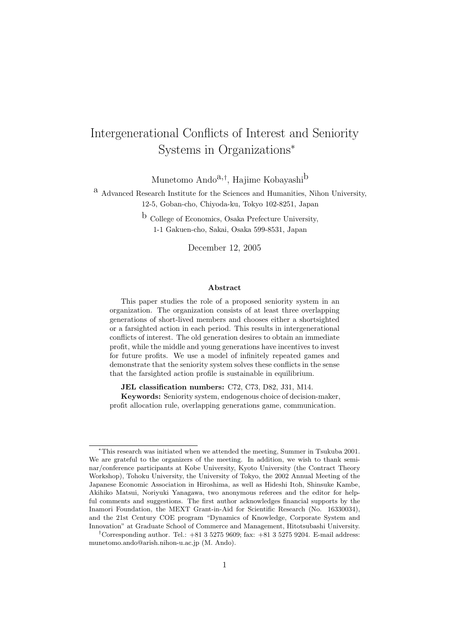# Intergenerational Conflicts of Interest and Seniority Systems in Organizations<sup>∗</sup>

Munetomo Ando<sup>a,†</sup>, Hajime Kobayashi<sup>b</sup>

a Advanced Research Institute for the Sciences and Humanities, Nihon University, 12-5, Goban-cho, Chiyoda-ku, Tokyo 102-8251, Japan

> b College of Economics, Osaka Prefecture University, 1-1 Gakuen-cho, Sakai, Osaka 599-8531, Japan

> > December 12, 2005

### Abstract

This paper studies the role of a proposed seniority system in an organization. The organization consists of at least three overlapping generations of short-lived members and chooses either a shortsighted or a farsighted action in each period. This results in intergenerational conflicts of interest. The old generation desires to obtain an immediate profit, while the middle and young generations have incentives to invest for future profits. We use a model of infinitely repeated games and demonstrate that the seniority system solves these conflicts in the sense that the farsighted action profile is sustainable in equilibrium.

JEL classification numbers: C72, C73, D82, J31, M14.

Keywords: Seniority system, endogenous choice of decision-maker, profit allocation rule, overlapping generations game, communication.

<sup>∗</sup>This research was initiated when we attended the meeting, Summer in Tsukuba 2001. We are grateful to the organizers of the meeting. In addition, we wish to thank seminar/conference participants at Kobe University, Kyoto University (the Contract Theory Workshop), Tohoku University, the University of Tokyo, the 2002 Annual Meeting of the Japanese Economic Association in Hiroshima, as well as Hideshi Itoh, Shinsuke Kambe, Akihiko Matsui, Noriyuki Yanagawa, two anonymous referees and the editor for helpful comments and suggestions. The first author acknowledges financial supports by the Inamori Foundation, the MEXT Grant-in-Aid for Scientific Research (No. 16330034), and the 21st Century COE program "Dynamics of Knowledge, Corporate System and Innovation" at Graduate School of Commerce and Management, Hitotsubashi University.

<sup>&</sup>lt;sup>†</sup>Corresponding author. Tel.:  $+81352759609$ ; fax:  $+81352759204$ . E-mail address: munetomo.ando@arish.nihon-u.ac.jp (M. Ando).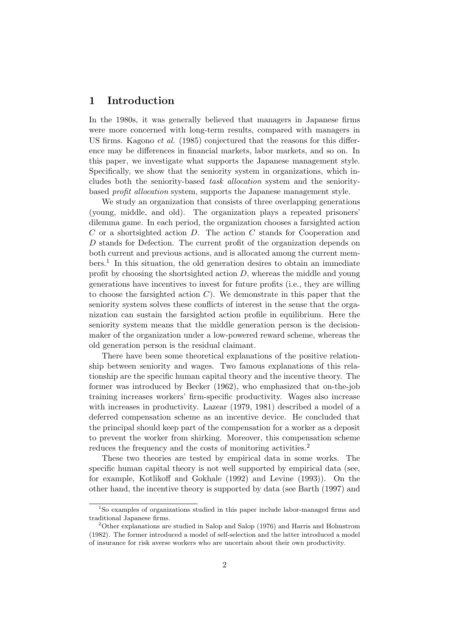### 1 Introduction

In the 1980s, it was generally believed that managers in Japanese firms were more concerned with long-term results, compared with managers in US firms. Kagono *et al.* (1985) conjectured that the reasons for this difference may be differences in financial markets, labor markets, and so on. In this paper, we investigate what supports the Japanese management style. Specifically, we show that the seniority system in organizations, which includes both the seniority-based task allocation system and the senioritybased profit allocation system, supports the Japanese management style.

We study an organization that consists of three overlapping generations (young, middle, and old). The organization plays a repeated prisoners' dilemma game. In each period, the organization chooses a farsighted action  $C$  or a shortsighted action  $D$ . The action  $C$  stands for Cooperation and D stands for Defection. The current profit of the organization depends on both current and previous actions, and is allocated among the current members.<sup>1</sup> In this situation, the old generation desires to obtain an immediate profit by choosing the shortsighted action  $D$ , whereas the middle and young generations have incentives to invest for future profits (i.e., they are willing to choose the farsighted action  $C$ ). We demonstrate in this paper that the seniority system solves these conflicts of interest in the sense that the organization can sustain the farsighted action profile in equilibrium. Here the seniority system means that the middle generation person is the decisionmaker of the organization under a low-powered reward scheme, whereas the old generation person is the residual claimant.

There have been some theoretical explanations of the positive relationship between seniority and wages. Two famous explanations of this relationship are the specific human capital theory and the incentive theory. The former was introduced by Becker (1962), who emphasized that on-the-job training increases workers' firm-specific productivity. Wages also increase with increases in productivity. Lazear (1979, 1981) described a model of a deferred compensation scheme as an incentive device. He concluded that the principal should keep part of the compensation for a worker as a deposit to prevent the worker from shirking. Moreover, this compensation scheme reduces the frequency and the costs of monitoring activities.<sup>2</sup>

These two theories are tested by empirical data in some works. The specific human capital theory is not well supported by empirical data (see, for example, Kotlikoff and Gokhale (1992) and Levine (1993)). On the other hand, the incentive theory is supported by data (see Barth (1997) and

<sup>&</sup>lt;sup>1</sup>So examples of organizations studied in this paper include labor-managed firms and traditional Japanese firms.

<sup>2</sup>Other explanations are studied in Salop and Salop (1976) and Harris and Holmstrom (1982). The former introduced a model of self-selection and the latter introduced a model of insurance for risk averse workers who are uncertain about their own productivity.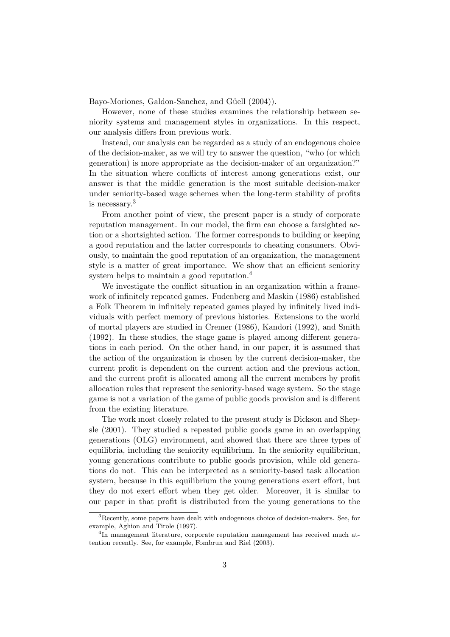Bayo-Moriones, Galdon-Sanchez, and Güell (2004)).

However, none of these studies examines the relationship between seniority systems and management styles in organizations. In this respect, our analysis differs from previous work.

Instead, our analysis can be regarded as a study of an endogenous choice of the decision-maker, as we will try to answer the question, "who (or which generation) is more appropriate as the decision-maker of an organization?" In the situation where conflicts of interest among generations exist, our answer is that the middle generation is the most suitable decision-maker under seniority-based wage schemes when the long-term stability of profits is necessary.<sup>3</sup>

From another point of view, the present paper is a study of corporate reputation management. In our model, the firm can choose a farsighted action or a shortsighted action. The former corresponds to building or keeping a good reputation and the latter corresponds to cheating consumers. Obviously, to maintain the good reputation of an organization, the management style is a matter of great importance. We show that an efficient seniority system helps to maintain a good reputation.<sup>4</sup>

We investigate the conflict situation in an organization within a framework of infinitely repeated games. Fudenberg and Maskin (1986) established a Folk Theorem in infinitely repeated games played by infinitely lived individuals with perfect memory of previous histories. Extensions to the world of mortal players are studied in Cremer (1986), Kandori (1992), and Smith (1992). In these studies, the stage game is played among different generations in each period. On the other hand, in our paper, it is assumed that the action of the organization is chosen by the current decision-maker, the current profit is dependent on the current action and the previous action, and the current profit is allocated among all the current members by profit allocation rules that represent the seniority-based wage system. So the stage game is not a variation of the game of public goods provision and is different from the existing literature.

The work most closely related to the present study is Dickson and Shepsle (2001). They studied a repeated public goods game in an overlapping generations (OLG) environment, and showed that there are three types of equilibria, including the seniority equilibrium. In the seniority equilibrium, young generations contribute to public goods provision, while old generations do not. This can be interpreted as a seniority-based task allocation system, because in this equilibrium the young generations exert effort, but they do not exert effort when they get older. Moreover, it is similar to our paper in that profit is distributed from the young generations to the

<sup>&</sup>lt;sup>3</sup>Recently, some papers have dealt with endogenous choice of decision-makers. See, for example, Aghion and Tirole (1997).

<sup>&</sup>lt;sup>4</sup>In management literature, corporate reputation management has received much attention recently. See, for example, Fombrun and Riel (2003).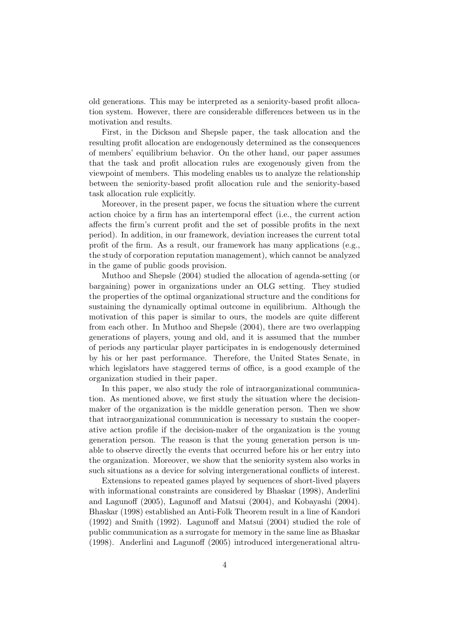old generations. This may be interpreted as a seniority-based profit allocation system. However, there are considerable differences between us in the motivation and results.

First, in the Dickson and Shepsle paper, the task allocation and the resulting profit allocation are endogenously determined as the consequences of members' equilibrium behavior. On the other hand, our paper assumes that the task and profit allocation rules are exogenously given from the viewpoint of members. This modeling enables us to analyze the relationship between the seniority-based profit allocation rule and the seniority-based task allocation rule explicitly.

Moreover, in the present paper, we focus the situation where the current action choice by a firm has an intertemporal effect (i.e., the current action affects the firm's current profit and the set of possible profits in the next period). In addition, in our framework, deviation increases the current total profit of the firm. As a result, our framework has many applications (e.g., the study of corporation reputation management), which cannot be analyzed in the game of public goods provision.

Muthoo and Shepsle (2004) studied the allocation of agenda-setting (or bargaining) power in organizations under an OLG setting. They studied the properties of the optimal organizational structure and the conditions for sustaining the dynamically optimal outcome in equilibrium. Although the motivation of this paper is similar to ours, the models are quite different from each other. In Muthoo and Shepsle (2004), there are two overlapping generations of players, young and old, and it is assumed that the number of periods any particular player participates in is endogenously determined by his or her past performance. Therefore, the United States Senate, in which legislators have staggered terms of office, is a good example of the organization studied in their paper.

In this paper, we also study the role of intraorganizational communication. As mentioned above, we first study the situation where the decisionmaker of the organization is the middle generation person. Then we show that intraorganizational communication is necessary to sustain the cooperative action profile if the decision-maker of the organization is the young generation person. The reason is that the young generation person is unable to observe directly the events that occurred before his or her entry into the organization. Moreover, we show that the seniority system also works in such situations as a device for solving intergenerational conflicts of interest.

Extensions to repeated games played by sequences of short-lived players with informational constraints are considered by Bhaskar (1998), Anderlini and Lagunoff (2005), Lagunoff and Matsui (2004), and Kobayashi (2004). Bhaskar (1998) established an Anti-Folk Theorem result in a line of Kandori (1992) and Smith (1992). Lagunoff and Matsui (2004) studied the role of public communication as a surrogate for memory in the same line as Bhaskar (1998). Anderlini and Lagunoff (2005) introduced intergenerational altru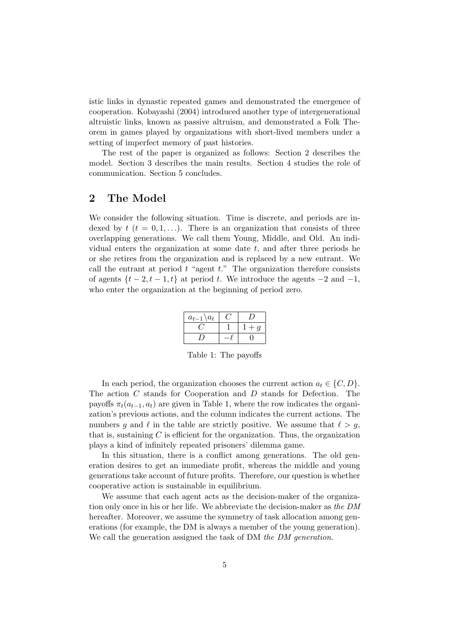istic links in dynastic repeated games and demonstrated the emergence of cooperation. Kobayashi (2004) introduced another type of intergenerational altruistic links, known as passive altruism, and demonstrated a Folk Theorem in games played by organizations with short-lived members under a setting of imperfect memory of past histories.

The rest of the paper is organized as follows: Section 2 describes the model. Section 3 describes the main results. Section 4 studies the role of communication. Section 5 concludes.

# 2 The Model

We consider the following situation. Time is discrete, and periods are indexed by  $t$   $(t = 0, 1, \ldots)$ . There is an organization that consists of three overlapping generations. We call them Young, Middle, and Old. An individual enters the organization at some date  $t$ , and after three periods he or she retires from the organization and is replaced by a new entrant. We call the entrant at period  $t$  "agent  $t$ ." The organization therefore consists of agents  $\{t-2, t-1, t\}$  at period t. We introduce the agents  $-2$  and  $-1$ , who enter the organization at the beginning of period zero.

| $a_{t-1} \backslash a_t$ |                |
|--------------------------|----------------|
|                          | $\mathfrak{g}$ |
|                          |                |

Table 1: The payoffs

In each period, the organization chooses the current action  $a_t \in \{C, D\}$ . The action C stands for Cooperation and D stands for Defection. The payoffs  $\pi_t(a_{t-1}, a_t)$  are given in Table 1, where the row indicates the organization's previous actions, and the column indicates the current actions. The numbers g and  $\ell$  in the table are strictly positive. We assume that  $\ell > g$ , that is, sustaining  $C$  is efficient for the organization. Thus, the organization plays a kind of infinitely repeated prisoners' dilemma game.

In this situation, there is a conflict among generations. The old generation desires to get an immediate profit, whereas the middle and young generations take account of future profits. Therefore, our question is whether cooperative action is sustainable in equilibrium.

We assume that each agent acts as the decision-maker of the organization only once in his or her life. We abbreviate the decision-maker as the DM hereafter. Moreover, we assume the symmetry of task allocation among generations (for example, the DM is always a member of the young generation). We call the generation assigned the task of DM the DM generation.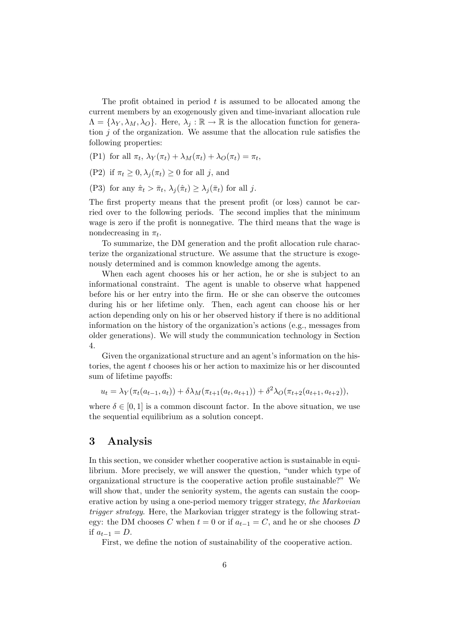The profit obtained in period  $t$  is assumed to be allocated among the current members by an exogenously given and time-invariant allocation rule  $\Lambda = {\lambda_Y, \lambda_M, \lambda_Q}$ . Here,  $\lambda_i : \mathbb{R} \to \mathbb{R}$  is the allocation function for generation  $j$  of the organization. We assume that the allocation rule satisfies the following properties:

(P1) for all  $\pi_t$ ,  $\lambda_Y(\pi_t) + \lambda_M(\pi_t) + \lambda_O(\pi_t) = \pi_t$ ,

- (P2) if  $\pi_t \geq 0$ ,  $\lambda_i(\pi_t) \geq 0$  for all j, and
- (P3) for any  $\hat{\pi}_t > \bar{\pi}_t$ ,  $\lambda_j(\hat{\pi}_t) \geq \lambda_j(\bar{\pi}_t)$  for all j.

The first property means that the present profit (or loss) cannot be carried over to the following periods. The second implies that the minimum wage is zero if the profit is nonnegative. The third means that the wage is nondecreasing in  $\pi_t$ .

To summarize, the DM generation and the profit allocation rule characterize the organizational structure. We assume that the structure is exogenously determined and is common knowledge among the agents.

When each agent chooses his or her action, he or she is subject to an informational constraint. The agent is unable to observe what happened before his or her entry into the firm. He or she can observe the outcomes during his or her lifetime only. Then, each agent can choose his or her action depending only on his or her observed history if there is no additional information on the history of the organization's actions (e.g., messages from older generations). We will study the communication technology in Section 4.

Given the organizational structure and an agent's information on the histories, the agent t chooses his or her action to maximize his or her discounted sum of lifetime payoffs:

$$
u_t = \lambda_Y(\pi_t(a_{t-1}, a_t)) + \delta \lambda_M(\pi_{t+1}(a_t, a_{t+1})) + \delta^2 \lambda_O(\pi_{t+2}(a_{t+1}, a_{t+2})),
$$

where  $\delta \in [0, 1]$  is a common discount factor. In the above situation, we use the sequential equilibrium as a solution concept.

### 3 Analysis

In this section, we consider whether cooperative action is sustainable in equilibrium. More precisely, we will answer the question, "under which type of organizational structure is the cooperative action profile sustainable?" We will show that, under the seniority system, the agents can sustain the cooperative action by using a one-period memory trigger strategy, the Markovian trigger strategy. Here, the Markovian trigger strategy is the following strategy: the DM chooses C when  $t = 0$  or if  $a_{t-1} = C$ , and he or she chooses D if  $a_{t-1} = D$ .

First, we define the notion of sustainability of the cooperative action.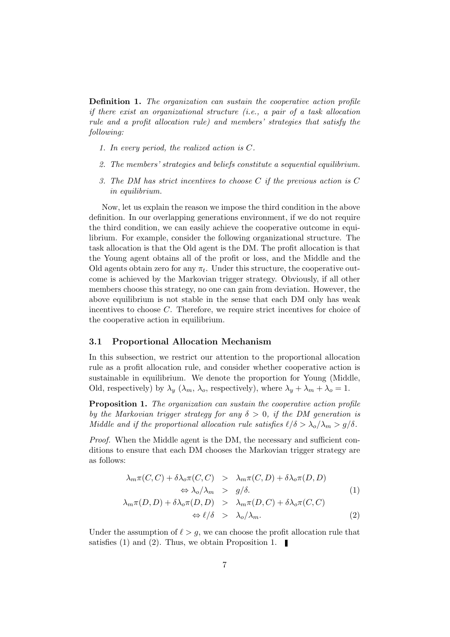Definition 1. The organization can sustain the cooperative action profile if there exist an organizational structure (i.e., a pair of a task allocation rule and a profit allocation rule) and members' strategies that satisfy the following:

- 1. In every period, the realized action is C.
- 2. The members' strategies and beliefs constitute a sequential equilibrium.
- 3. The DM has strict incentives to choose  $C$  if the previous action is  $C$ in equilibrium.

Now, let us explain the reason we impose the third condition in the above definition. In our overlapping generations environment, if we do not require the third condition, we can easily achieve the cooperative outcome in equilibrium. For example, consider the following organizational structure. The task allocation is that the Old agent is the DM. The profit allocation is that the Young agent obtains all of the profit or loss, and the Middle and the Old agents obtain zero for any  $\pi_t$ . Under this structure, the cooperative outcome is achieved by the Markovian trigger strategy. Obviously, if all other members choose this strategy, no one can gain from deviation. However, the above equilibrium is not stable in the sense that each DM only has weak incentives to choose C. Therefore, we require strict incentives for choice of the cooperative action in equilibrium.

#### 3.1 Proportional Allocation Mechanism

In this subsection, we restrict our attention to the proportional allocation rule as a profit allocation rule, and consider whether cooperative action is sustainable in equilibrium. We denote the proportion for Young (Middle, Old, respectively) by  $\lambda_y$  ( $\lambda_m$ ,  $\lambda_o$ , respectively), where  $\lambda_y + \lambda_m + \lambda_o = 1$ .

Proposition 1. The organization can sustain the cooperative action profile by the Markovian trigger strategy for any  $\delta > 0$ , if the DM generation is Middle and if the proportional allocation rule satisfies  $\ell/\delta > \lambda_o/\lambda_m > g/\delta$ .

Proof. When the Middle agent is the DM, the necessary and sufficient conditions to ensure that each DM chooses the Markovian trigger strategy are as follows:

$$
\lambda_m \pi(C, C) + \delta \lambda_o \pi(C, C) > \lambda_m \pi(C, D) + \delta \lambda_o \pi(D, D)
$$
  

$$
\Leftrightarrow \lambda_o/\lambda_m > g/\delta.
$$
 (1)

$$
\lambda_m \pi(D, D) + \delta \lambda_o \pi(D, D) > \lambda_m \pi(D, C) + \delta \lambda_o \pi(C, C)
$$
  

$$
\Leftrightarrow \ell/\delta > \lambda_o/\lambda_m.
$$
 (2)

Under the assumption of  $\ell > g$ , we can choose the profit allocation rule that satisfies (1) and (2). Thus, we obtain Proposition 1.  $\blacksquare$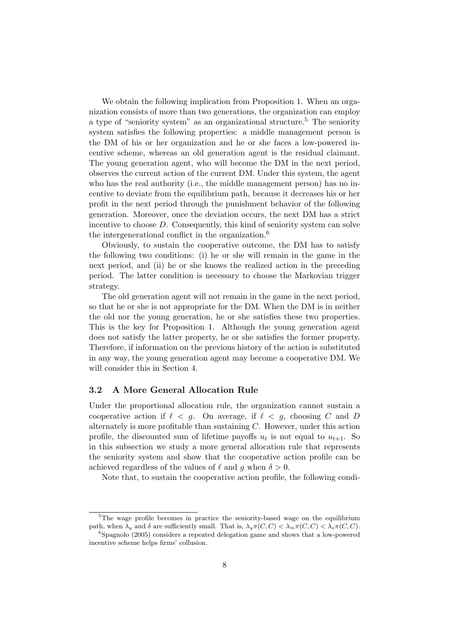We obtain the following implication from Proposition 1. When an organization consists of more than two generations, the organization can employ a type of "seniority system" as an organizational structure.<sup>5</sup> The seniority system satisfies the following properties: a middle management person is the DM of his or her organization and he or she faces a low-powered incentive scheme, whereas an old generation agent is the residual claimant. The young generation agent, who will become the DM in the next period, observes the current action of the current DM. Under this system, the agent who has the real authority (i.e., the middle management person) has no incentive to deviate from the equilibrium path, because it decreases his or her profit in the next period through the punishment behavior of the following generation. Moreover, once the deviation occurs, the next DM has a strict incentive to choose  $D$ . Consequently, this kind of seniority system can solve the intergenerational conflict in the organization.<sup>6</sup>

Obviously, to sustain the cooperative outcome, the DM has to satisfy the following two conditions: (i) he or she will remain in the game in the next period, and (ii) he or she knows the realized action in the preceding period. The latter condition is necessary to choose the Markovian trigger strategy.

The old generation agent will not remain in the game in the next period, so that he or she is not appropriate for the DM. When the DM is in neither the old nor the young generation, he or she satisfies these two properties. This is the key for Proposition 1. Although the young generation agent does not satisfy the latter property, he or she satisfies the former property. Therefore, if information on the previous history of the action is substituted in any way, the young generation agent may become a cooperative DM. We will consider this in Section 4.

### 3.2 A More General Allocation Rule

Under the proportional allocation rule, the organization cannot sustain a cooperative action if  $\ell < g$ . On average, if  $\ell < g$ , choosing C and D alternately is more profitable than sustaining  $C$ . However, under this action profile, the discounted sum of lifetime payoffs  $u_t$  is not equal to  $u_{t+1}$ . So in this subsection we study a more general allocation rule that represents the seniority system and show that the cooperative action profile can be achieved regardless of the values of  $\ell$  and g when  $\delta > 0$ .

Note that, to sustain the cooperative action profile, the following condi-

<sup>&</sup>lt;sup>5</sup>The wage profile becomes in practice the seniority-based wage on the equilibrium path, when  $\lambda_y$  and  $\delta$  are sufficiently small. That is,  $\lambda_y \pi(C, C) < \lambda_m \pi(C, C) < \lambda_o \pi(C, C)$ .

<sup>6</sup>Spagnolo (2005) considers a repeated delegation game and shows that a low-powered incentive scheme helps firms' collusion.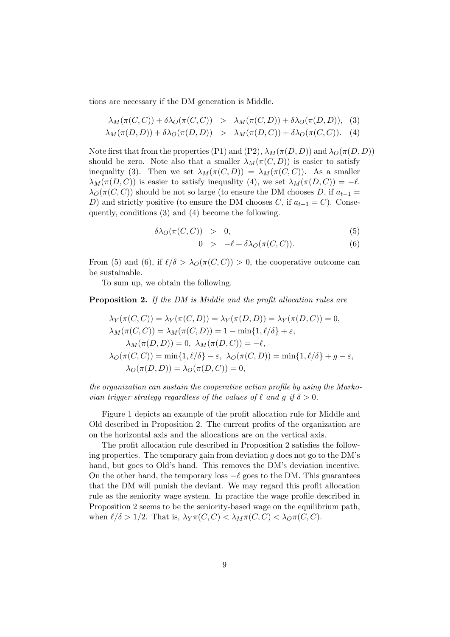tions are necessary if the DM generation is Middle.

$$
\lambda_M(\pi(C,C)) + \delta\lambda_O(\pi(C,C)) > \lambda_M(\pi(C,D)) + \delta\lambda_O(\pi(D,D)),
$$
 (3)  

$$
\lambda_M(\pi(D,D)) + \delta\lambda_O(\pi(D,D)) > \lambda_M(\pi(D,C)) + \delta\lambda_O(\pi(C,C)).
$$
 (4)

Note first that from the properties (P1) and (P2),  $\lambda_M(\pi(D, D))$  and  $\lambda_O(\pi(D, D))$ should be zero. Note also that a smaller  $\lambda_M(\pi(C, D))$  is easier to satisfy inequality (3). Then we set  $\lambda_M(\pi(C, D)) = \lambda_M(\pi(C, C))$ . As a smaller  $\lambda_M(\pi(D, C))$  is easier to satisfy inequality (4), we set  $\lambda_M(\pi(D, C)) = -\ell$ .  $\lambda_O(\pi(C, C))$  should be not so large (to ensure the DM chooses D, if  $a_{t-1} =$ D) and strictly positive (to ensure the DM chooses C, if  $a_{t-1} = C$ ). Consequently, conditions (3) and (4) become the following.

$$
\delta\lambda_O(\pi(C,C)) > 0, \tag{5}
$$

$$
0 > -\ell + \delta\lambda_O(\pi(C, C)). \tag{6}
$$

From (5) and (6), if  $\ell/\delta > \lambda_O(\pi(C, C)) > 0$ , the cooperative outcome can be sustainable.

To sum up, we obtain the following.

**Proposition 2.** If the DM is Middle and the profit allocation rules are

$$
\lambda_Y(\pi(C, C)) = \lambda_Y(\pi(C, D)) = \lambda_Y(\pi(D, D)) = \lambda_Y(\pi(D, C)) = 0,
$$
  
\n
$$
\lambda_M(\pi(C, C)) = \lambda_M(\pi(C, D)) = 1 - \min\{1, \ell/\delta\} + \varepsilon,
$$
  
\n
$$
\lambda_M(\pi(D, D)) = 0, \ \lambda_M(\pi(D, C)) = -\ell,
$$
  
\n
$$
\lambda_O(\pi(C, C)) = \min\{1, \ell/\delta\} - \varepsilon, \ \lambda_O(\pi(C, D)) = \min\{1, \ell/\delta\} + g - \varepsilon,
$$
  
\n
$$
\lambda_O(\pi(D, D)) = \lambda_O(\pi(D, C)) = 0,
$$

the organization can sustain the cooperative action profile by using the Markovian trigger strategy regardless of the values of  $\ell$  and g if  $\delta > 0$ .

Figure 1 depicts an example of the profit allocation rule for Middle and Old described in Proposition 2. The current profits of the organization are on the horizontal axis and the allocations are on the vertical axis.

The profit allocation rule described in Proposition 2 satisfies the following properties. The temporary gain from deviation  $q$  does not go to the DM's hand, but goes to Old's hand. This removes the DM's deviation incentive. On the other hand, the temporary loss  $-\ell$  goes to the DM. This guarantees that the DM will punish the deviant. We may regard this profit allocation rule as the seniority wage system. In practice the wage profile described in Proposition 2 seems to be the seniority-based wage on the equilibrium path, when  $\ell/\delta > 1/2$ . That is,  $\lambda_Y \pi(C, C) < \lambda_M \pi(C, C) < \lambda_O \pi(C, C)$ .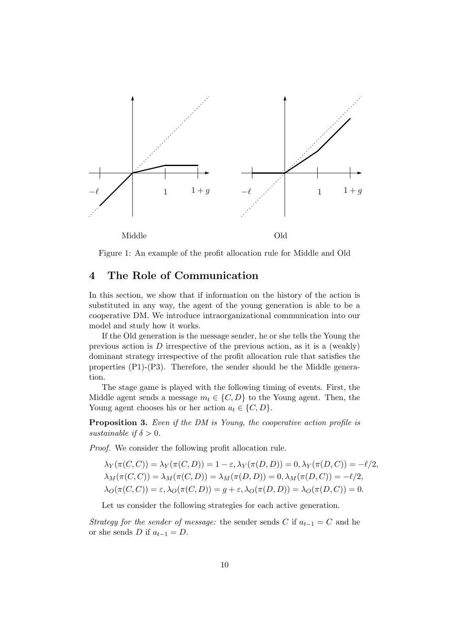

Figure 1: An example of the profit allocation rule for Middle and Old

# 4 The Role of Communication

In this section, we show that if information on the history of the action is substituted in any way, the agent of the young generation is able to be a cooperative DM. We introduce intraorganizational communication into our model and study how it works.

If the Old generation is the message sender, he or she tells the Young the previous action is  $D$  irrespective of the previous action, as it is a (weakly) dominant strategy irrespective of the profit allocation rule that satisfies the properties  $(P1)-(P3)$ . Therefore, the sender should be the Middle generation.

The stage game is played with the following timing of events. First, the Middle agent sends a message  $m_t \in \{C, D\}$  to the Young agent. Then, the Young agent chooses his or her action  $a_t \in \{C, D\}.$ 

Proposition 3. Even if the DM is Young, the cooperative action profile is sustainable if  $\delta > 0$ .

Proof. We consider the following profit allocation rule.

$$
\lambda_Y(\pi(C, C)) = \lambda_Y(\pi(C, D)) = 1 - \varepsilon, \lambda_Y(\pi(D, D)) = 0, \lambda_Y(\pi(D, C)) = -\ell/2,
$$
  
\n
$$
\lambda_M(\pi(C, C)) = \lambda_M(\pi(C, D)) = \lambda_M(\pi(D, D)) = 0, \lambda_M(\pi(D, C)) = -\ell/2,
$$
  
\n
$$
\lambda_O(\pi(C, C)) = \varepsilon, \lambda_O(\pi(C, D)) = g + \varepsilon, \lambda_O(\pi(D, D)) = \lambda_O(\pi(D, C)) = 0.
$$

Let us consider the following strategies for each active generation.

Strategy for the sender of message: the sender sends C if  $a_{t-1} = C$  and he or she sends D if  $a_{t-1} = D$ .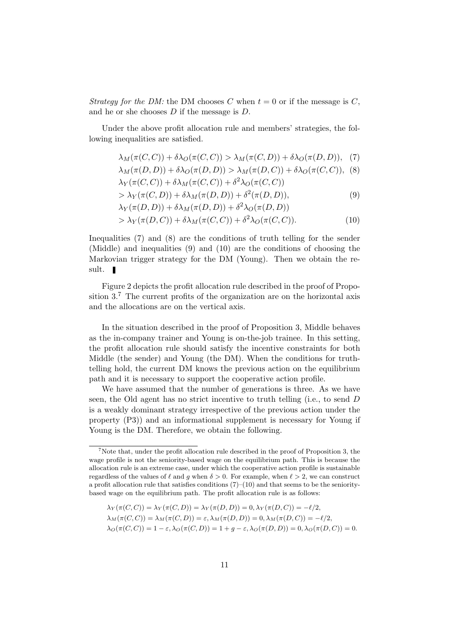Strategy for the DM: the DM chooses C when  $t = 0$  or if the message is C, and he or she chooses D if the message is D.

Under the above profit allocation rule and members' strategies, the following inequalities are satisfied.

$$
\lambda_M(\pi(C, C)) + \delta \lambda_O(\pi(C, C)) > \lambda_M(\pi(C, D)) + \delta \lambda_O(\pi(D, D)), \quad (7)
$$

$$
\lambda_M(\pi(D, D)) + \delta \lambda_O(\pi(D, D)) > \lambda_M(\pi(D, C)) + \delta \lambda_O(\pi(C, C)),
$$
 (8)  

$$
\lambda_Y(\pi(C, C)) + \delta \lambda_M(\pi(C, C)) + \delta^2 \lambda_O(\pi(C, C))
$$

$$
> \lambda_Y(\pi(C, D)) + \delta \lambda_M(\pi(D, D)) + \delta^2(\pi(D, D)), \tag{9}
$$

$$
\lambda_Y(\pi(D, D)) + \delta \lambda_M(\pi(D, D)) + \delta^2 \lambda_O(\pi(D, D))
$$
  
> 
$$
\lambda_Y(\pi(D, C)) + \delta \lambda_M(\pi(C, C)) + \delta^2 \lambda_O(\pi(C, C)).
$$
 (10)

Inequalities (7) and (8) are the conditions of truth telling for the sender (Middle) and inequalities (9) and (10) are the conditions of choosing the Markovian trigger strategy for the DM (Young). Then we obtain the result.

Figure 2 depicts the profit allocation rule described in the proof of Proposition 3.<sup>7</sup> The current profits of the organization are on the horizontal axis and the allocations are on the vertical axis.

In the situation described in the proof of Proposition 3, Middle behaves as the in-company trainer and Young is on-the-job trainee. In this setting, the profit allocation rule should satisfy the incentive constraints for both Middle (the sender) and Young (the DM). When the conditions for truthtelling hold, the current DM knows the previous action on the equilibrium path and it is necessary to support the cooperative action profile.

We have assumed that the number of generations is three. As we have seen, the Old agent has no strict incentive to truth telling (i.e., to send D is a weakly dominant strategy irrespective of the previous action under the property (P3)) and an informational supplement is necessary for Young if Young is the DM. Therefore, we obtain the following.

$$
\lambda_Y(\pi(C, C)) = \lambda_Y(\pi(C, D)) = \lambda_Y(\pi(D, D)) = 0, \lambda_Y(\pi(D, C)) = -\ell/2,
$$
  
\n
$$
\lambda_M(\pi(C, C)) = \lambda_M(\pi(C, D)) = \varepsilon, \lambda_M(\pi(D, D)) = 0, \lambda_M(\pi(D, C)) = -\ell/2,
$$
  
\n
$$
\lambda_O(\pi(C, C)) = 1 - \varepsilon, \lambda_O(\pi(C, D)) = 1 + g - \varepsilon, \lambda_O(\pi(D, D)) = 0, \lambda_O(\pi(D, C)) = 0.
$$

 $7$ Note that, under the profit allocation rule described in the proof of Proposition 3, the wage profile is not the seniority-based wage on the equilibrium path. This is because the allocation rule is an extreme case, under which the cooperative action profile is sustainable regardless of the values of  $\ell$  and g when  $\delta > 0$ . For example, when  $\ell > 2$ , we can construct a profit allocation rule that satisfies conditions  $(7)-(10)$  and that seems to be the senioritybased wage on the equilibrium path. The profit allocation rule is as follows: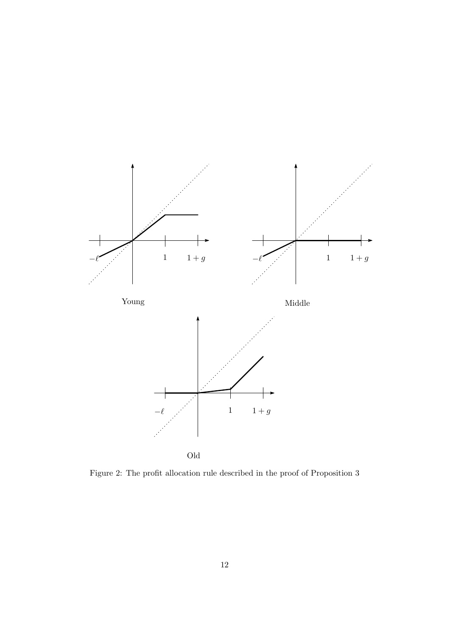

Figure 2: The profit allocation rule described in the proof of Proposition 3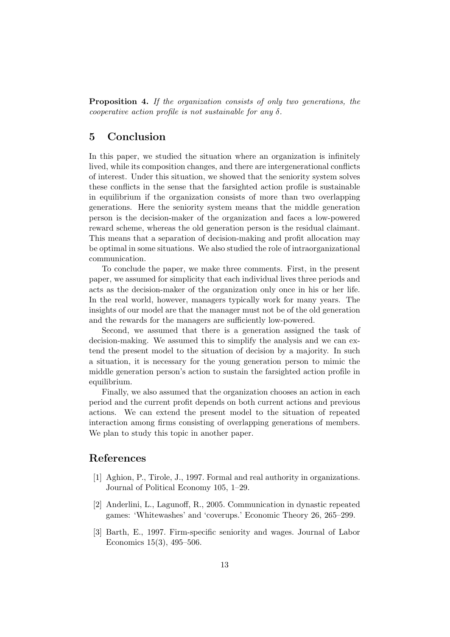Proposition 4. If the organization consists of only two generations, the cooperative action profile is not sustainable for any  $\delta$ .

# 5 Conclusion

In this paper, we studied the situation where an organization is infinitely lived, while its composition changes, and there are intergenerational conflicts of interest. Under this situation, we showed that the seniority system solves these conflicts in the sense that the farsighted action profile is sustainable in equilibrium if the organization consists of more than two overlapping generations. Here the seniority system means that the middle generation person is the decision-maker of the organization and faces a low-powered reward scheme, whereas the old generation person is the residual claimant. This means that a separation of decision-making and profit allocation may be optimal in some situations. We also studied the role of intraorganizational communication.

To conclude the paper, we make three comments. First, in the present paper, we assumed for simplicity that each individual lives three periods and acts as the decision-maker of the organization only once in his or her life. In the real world, however, managers typically work for many years. The insights of our model are that the manager must not be of the old generation and the rewards for the managers are sufficiently low-powered.

Second, we assumed that there is a generation assigned the task of decision-making. We assumed this to simplify the analysis and we can extend the present model to the situation of decision by a majority. In such a situation, it is necessary for the young generation person to mimic the middle generation person's action to sustain the farsighted action profile in equilibrium.

Finally, we also assumed that the organization chooses an action in each period and the current profit depends on both current actions and previous actions. We can extend the present model to the situation of repeated interaction among firms consisting of overlapping generations of members. We plan to study this topic in another paper.

### References

- [1] Aghion, P., Tirole, J., 1997. Formal and real authority in organizations. Journal of Political Economy 105, 1–29.
- [2] Anderlini, L., Lagunoff, R., 2005. Communication in dynastic repeated games: 'Whitewashes' and 'coverups.' Economic Theory 26, 265–299.
- [3] Barth, E., 1997. Firm-specific seniority and wages. Journal of Labor Economics 15(3), 495–506.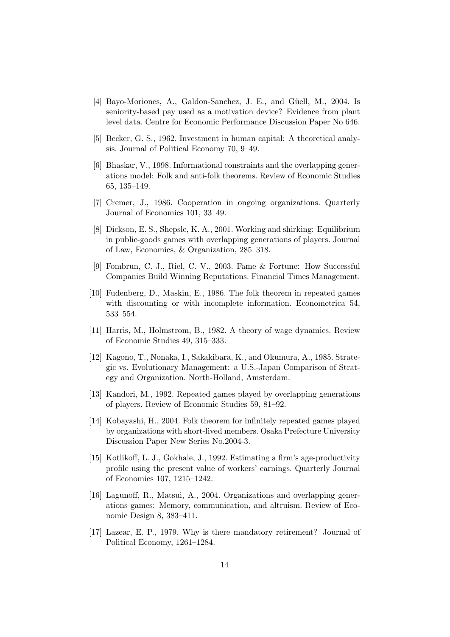- [4] Bayo-Moriones, A., Galdon-Sanchez, J. E., and Güell, M., 2004. Is seniority-based pay used as a motivation device? Evidence from plant level data. Centre for Economic Performance Discussion Paper No 646.
- [5] Becker, G. S., 1962. Investment in human capital: A theoretical analysis. Journal of Political Economy 70, 9–49.
- [6] Bhaskar, V., 1998. Informational constraints and the overlapping generations model: Folk and anti-folk theorems. Review of Economic Studies 65, 135–149.
- [7] Cremer, J., 1986. Cooperation in ongoing organizations. Quarterly Journal of Economics 101, 33–49.
- [8] Dickson, E. S., Shepsle, K. A., 2001. Working and shirking: Equilibrium in public-goods games with overlapping generations of players. Journal of Law, Economics, & Organization, 285–318.
- [9] Fombrun, C. J., Riel, C. V., 2003. Fame & Fortune: How Successful Companies Build Winning Reputations. Financial Times Management.
- [10] Fudenberg, D., Maskin, E., 1986. The folk theorem in repeated games with discounting or with incomplete information. Econometrica 54, 533–554.
- [11] Harris, M., Holmstrom, B., 1982. A theory of wage dynamics. Review of Economic Studies 49, 315–333.
- [12] Kagono, T., Nonaka, I., Sakakibara, K., and Okumura, A., 1985. Strategic vs. Evolutionary Management: a U.S.-Japan Comparison of Strategy and Organization. North-Holland, Amsterdam.
- [13] Kandori, M., 1992. Repeated games played by overlapping generations of players. Review of Economic Studies 59, 81–92.
- [14] Kobayashi, H., 2004. Folk theorem for infinitely repeated games played by organizations with short-lived members. Osaka Prefecture University Discussion Paper New Series No.2004-3.
- [15] Kotlikoff, L. J., Gokhale, J., 1992. Estimating a firm's age-productivity profile using the present value of workers' earnings. Quarterly Journal of Economics 107, 1215–1242.
- [16] Lagunoff, R., Matsui, A., 2004. Organizations and overlapping generations games: Memory, communication, and altruism. Review of Economic Design 8, 383–411.
- [17] Lazear, E. P., 1979. Why is there mandatory retirement? Journal of Political Economy, 1261–1284.